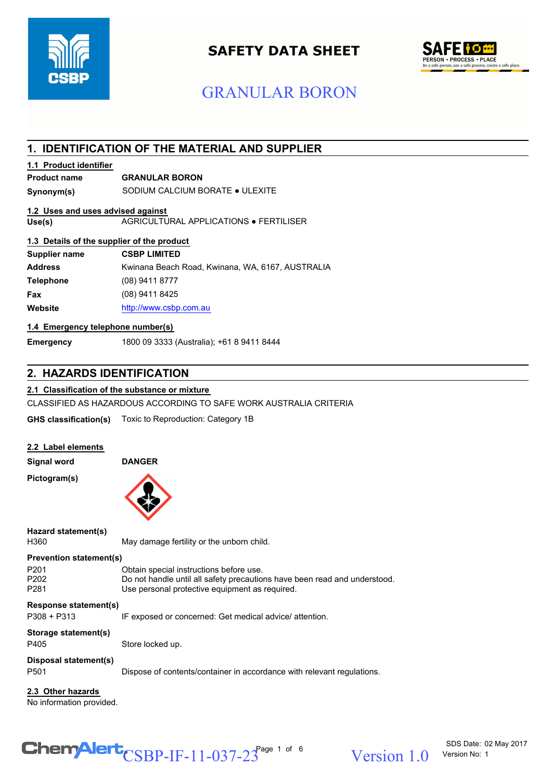

# **SAFETY DATA SHEET**



# GRANULAR BORON

# **1. IDENTIFICATION OF THE MATERIAL AND SUPPLIER**

#### **1.1 Product identifier**

# **Product name GRANULAR BORON**

**Synonym(s)** SODIUM CALCIUM BORATE ● ULEXITE

### **1.2 Uses and uses advised against**

**Use(s)** AGRICULTURAL APPLICATIONS ● FERTILISER

#### **1.3 Details of the supplier of the product**

| <b>CSBP LIMITED</b>                              |
|--------------------------------------------------|
| Kwinana Beach Road, Kwinana, WA, 6167, AUSTRALIA |
| $(08)$ 9411 8777                                 |
| (08) 9411 8425                                   |
| http://www.csbp.com.au                           |
|                                                  |

#### **1.4 Emergency telephone number(s)**

**Emergency** 1800 09 3333 (Australia); +61 8 9411 8444

# **2. HAZARDS IDENTIFICATION**

#### **2.1 Classification of the substance or mixture**

CLASSIFIED AS HAZARDOUS ACCORDING TO SAFE WORK AUSTRALIA CRITERIA

**GHS classification(s)** Toxic to Reproduction: Category 1B

| 2.2 Label elements |
|--------------------|
|--------------------|

**Pictogram(s)**

**Signal word DANGER**



**Hazard statement(s)**

H360 May damage fertility or the unborn child.

#### P201 Obtain special instructions before use. **Prevention statement(s)**

**Response statement(s)** P202 Do not handle until all safety precautions have been read and understood.<br>P281 Use personal protective equipment as required. Use personal protective equipment as required.

P308 + P313 **IF exposed or concerned: Get medical advice/ attention.** 

#### P405 Store locked up. **Storage statement(s)**

# **Disposal statement(s)**

P501 Dispose of contents/container in accordance with relevant regulations.

#### **2.3 Other hazards**

No information provided.

# $\text{CSBP-IF-11-037-23}^{\text{Page 1 of 6}}$  Version 1.0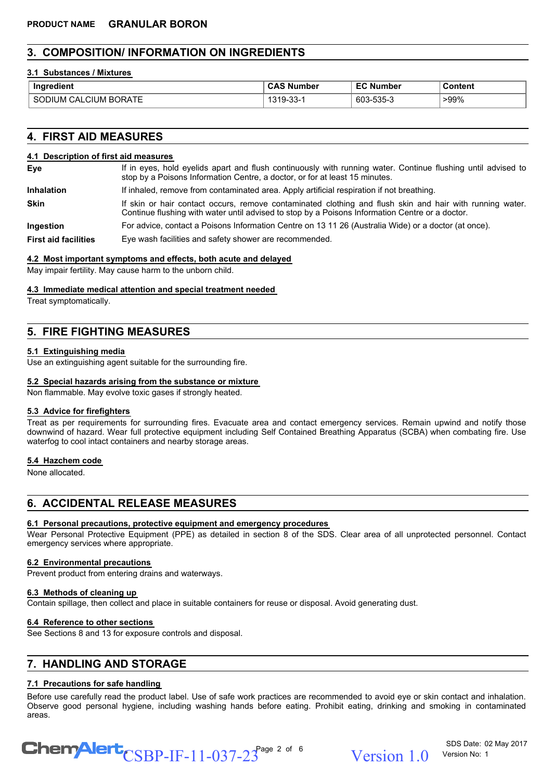# **3. COMPOSITION/ INFORMATION ON INGREDIENTS**

#### **3.1 Substances / Mixtures**

| Ingredient                                          | ' CA∟<br>. Number | Number                        | Content |
|-----------------------------------------------------|-------------------|-------------------------------|---------|
| . – –<br>CILIN<br>н١<br>)RA I E<br>:д'<br>,,,<br>JM | $\sim$<br>- 0.0-  | ror.<br>rn r<br>-<br>ว.ว:ว-.ว | $-99%$  |

## **4. FIRST AID MEASURES**

#### **4.1 Description of first aid measures**

If in eyes, hold eyelids apart and flush continuously with running water. Continue flushing until advised to stop by a Poisons Information Centre, a doctor, or for at least 15 minutes. **Eye**

**Inhalation** If inhaled, remove from contaminated area. Apply artificial respiration if not breathing.

If skin or hair contact occurs, remove contaminated clothing and flush skin and hair with running water. Continue flushing with water until advised to stop by a Poisons Information Centre or a doctor. **Skin**

**Ingestion** For advice, contact a Poisons Information Centre on 13 11 26 (Australia Wide) or a doctor (at once).

**First aid facilities** Eye wash facilities and safety shower are recommended.

#### **4.2 Most important symptoms and effects, both acute and delayed**

May impair fertility. May cause harm to the unborn child.

#### **4.3 Immediate medical attention and special treatment needed**

Treat symptomatically.

# **5. FIRE FIGHTING MEASURES**

#### **5.1 Extinguishing media**

Use an extinguishing agent suitable for the surrounding fire.

#### **5.2 Special hazards arising from the substance or mixture**

Non flammable. May evolve toxic gases if strongly heated.

#### **5.3 Advice for firefighters**

Treat as per requirements for surrounding fires. Evacuate area and contact emergency services. Remain upwind and notify those downwind of hazard. Wear full protective equipment including Self Contained Breathing Apparatus (SCBA) when combating fire. Use waterfog to cool intact containers and nearby storage areas.

#### **5.4 Hazchem code**

None allocated.

# **6. ACCIDENTAL RELEASE MEASURES**

#### **6.1 Personal precautions, protective equipment and emergency procedures**

Wear Personal Protective Equipment (PPE) as detailed in section 8 of the SDS. Clear area of all unprotected personnel. Contact emergency services where appropriate.

#### **6.2 Environmental precautions**

Prevent product from entering drains and waterways.

#### **6.3 Methods of cleaning up**

Contain spillage, then collect and place in suitable containers for reuse or disposal. Avoid generating dust.

#### **6.4 Reference to other sections**

See Sections 8 and 13 for exposure controls and disposal.

# **7. HANDLING AND STORAGE**

# **7.1 Precautions for safe handling**

Before use carefully read the product label. Use of safe work practices are recommended to avoid eye or skin contact and inhalation. Observe good personal hygiene, including washing hands before eating. Prohibit eating, drinking and smoking in contaminated areas.



SDS Date: 02 May 2017 Version No: 1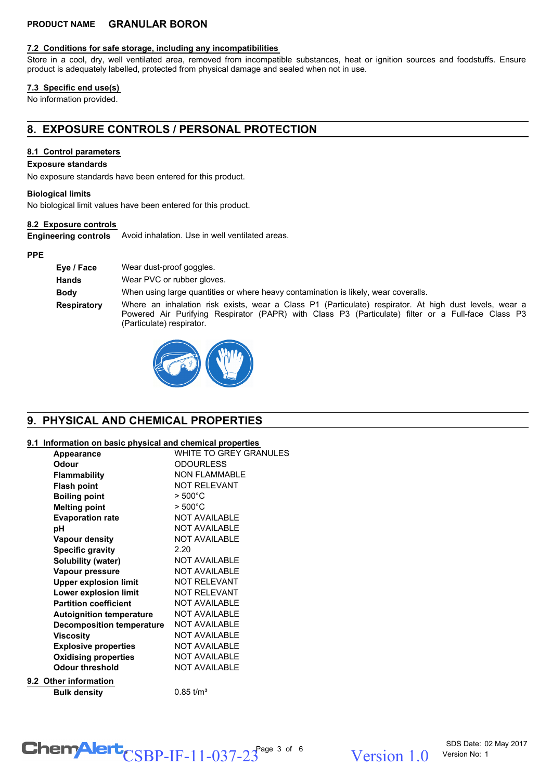### **PRODUCT NAME GRANULAR BORON**

#### **7.2 Conditions for safe storage, including any incompatibilities**

Store in a cool, dry, well ventilated area, removed from incompatible substances, heat or ignition sources and foodstuffs. Ensure product is adequately labelled, protected from physical damage and sealed when not in use.

#### **7.3 Specific end use(s)**

No information provided.

# **8. EXPOSURE CONTROLS / PERSONAL PROTECTION**

#### **8.1 Control parameters**

#### **Exposure standards**

No exposure standards have been entered for this product.

#### **Biological limits**

No biological limit values have been entered for this product.

#### **8.2 Exposure controls**

**Engineering controls** Avoid inhalation. Use in well ventilated areas.

#### **PPE**

| Eve / Face         | Wear dust-proof goggles.                                                                                                                                                                                                                  |
|--------------------|-------------------------------------------------------------------------------------------------------------------------------------------------------------------------------------------------------------------------------------------|
| <b>Hands</b>       | Wear PVC or rubber gloves.                                                                                                                                                                                                                |
| <b>Body</b>        | When using large quantities or where heavy contamination is likely, wear coveralls.                                                                                                                                                       |
| <b>Respiratory</b> | Where an inhalation risk exists, wear a Class P1 (Particulate) respirator. At high dust levels, wear a<br>Powered Air Purifying Respirator (PAPR) with Class P3 (Particulate) filter or a Full-face Class P3<br>(Particulate) respirator. |



# **9. PHYSICAL AND CHEMICAL PROPERTIES**

#### **9.1 Information on basic physical and chemical properties**

| Appearance                       | WHITE TO GREY GRANULES |
|----------------------------------|------------------------|
| <b>Odour</b>                     | <b>ODOURLESS</b>       |
| <b>Flammability</b>              | <b>NON FLAMMABLE</b>   |
| <b>Flash point</b>               | <b>NOT RELEVANT</b>    |
| <b>Boiling point</b>             | $>500^{\circ}$ C       |
| <b>Melting point</b>             | $> 500^{\circ}$ C      |
| <b>Evaporation rate</b>          | <b>NOT AVAILABLE</b>   |
| рH                               | <b>NOT AVAILABLE</b>   |
| <b>Vapour density</b>            | <b>NOT AVAILABLE</b>   |
| <b>Specific gravity</b>          | 2.20                   |
| Solubility (water)               | <b>NOT AVAILABLE</b>   |
| Vapour pressure                  | <b>NOT AVAILABLE</b>   |
| <b>Upper explosion limit</b>     | <b>NOT RELEVANT</b>    |
| Lower explosion limit            | <b>NOT RELEVANT</b>    |
| <b>Partition coefficient</b>     | <b>NOT AVAILABLE</b>   |
| <b>Autoignition temperature</b>  | <b>NOT AVAILABLE</b>   |
| <b>Decomposition temperature</b> | <b>NOT AVAILABLE</b>   |
| <b>Viscosity</b>                 | <b>NOT AVAILABLE</b>   |
| <b>Explosive properties</b>      | <b>NOT AVAILABLE</b>   |
| <b>Oxidising properties</b>      | <b>NOT AVAILABLE</b>   |
| <b>Odour threshold</b>           | <b>NOT AVAILABLE</b>   |
| 9.2 Other information            |                        |
| <b>Bulk density</b>              | $0.85 \text{ t/m}^3$   |

# $\text{CSBP-IF-11-037-23}^{\text{Page 3 of 6}}$  Version 1.0

Version 1 0 Version No: 1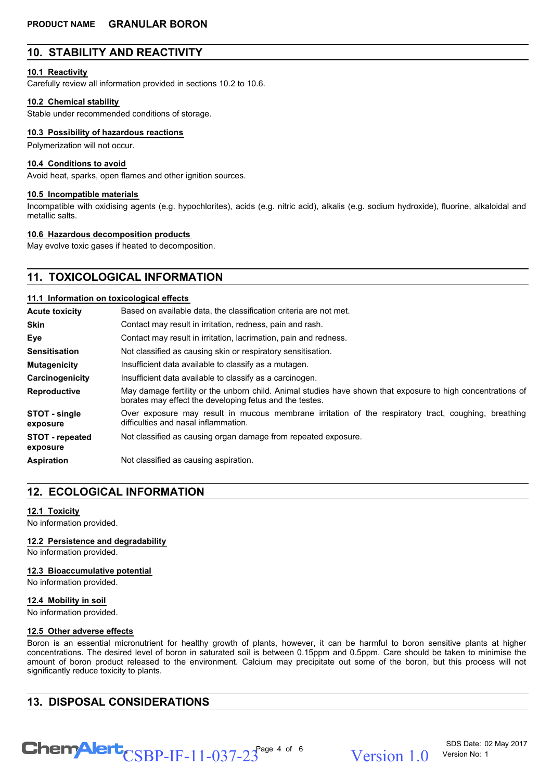# **10. STABILITY AND REACTIVITY**

#### **10.1 Reactivity**

Carefully review all information provided in sections 10.2 to 10.6.

#### **10.2 Chemical stability**

Stable under recommended conditions of storage.

#### **10.3 Possibility of hazardous reactions**

Polymerization will not occur.

#### **10.4 Conditions to avoid**

Avoid heat, sparks, open flames and other ignition sources.

#### **10.5 Incompatible materials**

Incompatible with oxidising agents (e.g. hypochlorites), acids (e.g. nitric acid), alkalis (e.g. sodium hydroxide), fluorine, alkaloidal and metallic salts.

#### **10.6 Hazardous decomposition products**

May evolve toxic gases if heated to decomposition.

# **11. TOXICOLOGICAL INFORMATION**

#### **11.1 Information on toxicological effects**

| <b>Acute toxicity</b>              | Based on available data, the classification criteria are not met.                                                                                                      |  |  |
|------------------------------------|------------------------------------------------------------------------------------------------------------------------------------------------------------------------|--|--|
| <b>Skin</b>                        | Contact may result in irritation, redness, pain and rash.                                                                                                              |  |  |
| Eye                                | Contact may result in irritation, lacrimation, pain and redness.                                                                                                       |  |  |
| <b>Sensitisation</b>               | Not classified as causing skin or respiratory sensitisation.                                                                                                           |  |  |
| <b>Mutagenicity</b>                | Insufficient data available to classify as a mutagen.                                                                                                                  |  |  |
| Carcinogenicity                    | Insufficient data available to classify as a carcinogen.                                                                                                               |  |  |
| <b>Reproductive</b>                | May damage fertility or the unborn child. Animal studies have shown that exposure to high concentrations of<br>borates may effect the developing fetus and the testes. |  |  |
| STOT - single<br>exposure          | Over exposure may result in mucous membrane irritation of the respiratory tract, coughing, breathing<br>difficulties and nasal inflammation.                           |  |  |
| <b>STOT</b> - repeated<br>exposure | Not classified as causing organ damage from repeated exposure.                                                                                                         |  |  |
| <b>Aspiration</b>                  | Not classified as causing aspiration.                                                                                                                                  |  |  |

# **12. ECOLOGICAL INFORMATION**

#### **12.1 Toxicity**

No information provided.

#### **12.2 Persistence and degradability**

No information provided.

#### **12.3 Bioaccumulative potential**

No information provided.

#### **12.4 Mobility in soil**

No information provided.

#### **12.5 Other adverse effects**

Boron is an essential micronutrient for healthy growth of plants, however, it can be harmful to boron sensitive plants at higher concentrations. The desired level of boron in saturated soil is between 0.15ppm and 0.5ppm. Care should be taken to minimise the amount of boron product released to the environment. Calcium may precipitate out some of the boron, but this process will not significantly reduce toxicity to plants.

# **13. DISPOSAL CONSIDERATIONS**

 $\text{CSBP-IF-11-037-23}^{\text{Page 4 of 6}}$  Version 1.0

SDS Date: 02 May 2017 Version No: 1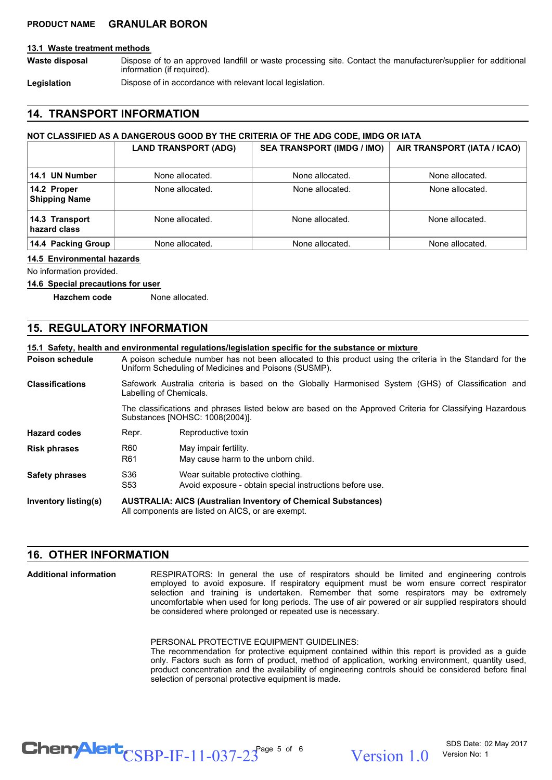#### **PRODUCT NAME GRANULAR BORON**

#### **13.1 Waste treatment methods**

Dispose of to an approved landfill or waste processing site. Contact the manufacturer/supplier for additional information (if required). **Waste disposal**

**Legislation Dispose of in accordance with relevant local legislation.** 

#### **14. TRANSPORT INFORMATION**

#### **NOT CLASSIFIED AS A DANGEROUS GOOD BY THE CRITERIA OF THE ADG CODE, IMDG OR IATA**

|                                     | <b>LAND TRANSPORT (ADG)</b> | <b>SEA TRANSPORT (IMDG / IMO)</b> | AIR TRANSPORT (IATA / ICAO) |
|-------------------------------------|-----------------------------|-----------------------------------|-----------------------------|
| 14.1 UN Number                      | None allocated.             | None allocated.                   | None allocated.             |
| 14.2 Proper<br><b>Shipping Name</b> | None allocated.             | None allocated.                   | None allocated.             |
| 14.3 Transport<br>hazard class      | None allocated.             | None allocated.                   | None allocated.             |
| 14.4 Packing Group                  | None allocated.             | None allocated.                   | None allocated.             |

#### **14.5 Environmental hazards**

No information provided.

#### **14.6 Special precautions for user**

**Hazchem code** None allocated.

### **15. REGULATORY INFORMATION**

|                             |                                                                                                                                                                    | 15.1 Safety, health and environmental requiations/legislation specific for the substance or mixture                           |  |
|-----------------------------|--------------------------------------------------------------------------------------------------------------------------------------------------------------------|-------------------------------------------------------------------------------------------------------------------------------|--|
| <b>Poison schedule</b>      | A poison schedule number has not been allocated to this product using the criteria in the Standard for the<br>Uniform Scheduling of Medicines and Poisons (SUSMP). |                                                                                                                               |  |
| <b>Classifications</b>      |                                                                                                                                                                    | Safework Australia criteria is based on the Globally Harmonised System (GHS) of Classification and<br>Labelling of Chemicals. |  |
|                             | The classifications and phrases listed below are based on the Approved Criteria for Classifying Hazardous<br>Substances [NOHSC: 1008(2004)].                       |                                                                                                                               |  |
| <b>Hazard codes</b>         | Repr.                                                                                                                                                              | Reproductive toxin                                                                                                            |  |
| <b>Risk phrases</b>         | R <sub>60</sub><br>R <sub>61</sub>                                                                                                                                 | May impair fertility.<br>May cause harm to the unborn child.                                                                  |  |
| <b>Safety phrases</b>       | S36<br>S <sub>53</sub>                                                                                                                                             | Wear suitable protective clothing.<br>Avoid exposure - obtain special instructions before use.                                |  |
| <b>Inventory listing(s)</b> | <b>AUSTRALIA: AICS (Australian Inventory of Chemical Substances)</b><br>All components are listed on AICS, or are exempt.                                          |                                                                                                                               |  |

## **16. OTHER INFORMATION**

**Additional information**

RESPIRATORS: In general the use of respirators should be limited and engineering controls employed to avoid exposure. If respiratory equipment must be worn ensure correct respirator selection and training is undertaken. Remember that some respirators may be extremely uncomfortable when used for long periods. The use of air powered or air supplied respirators should be considered where prolonged or repeated use is necessary.

PERSONAL PROTECTIVE EQUIPMENT GUIDELINES:

The recommendation for protective equipment contained within this report is provided as a guide only. Factors such as form of product, method of application, working environment, quantity used, product concentration and the availability of engineering controls should be considered before final selection of personal protective equipment is made.

 $\text{CSBP-IF-11-037-23}^{\text{Page 5 of 6}}$  Version 1.0

SDS Date: 02 May 2017 Version No: 1